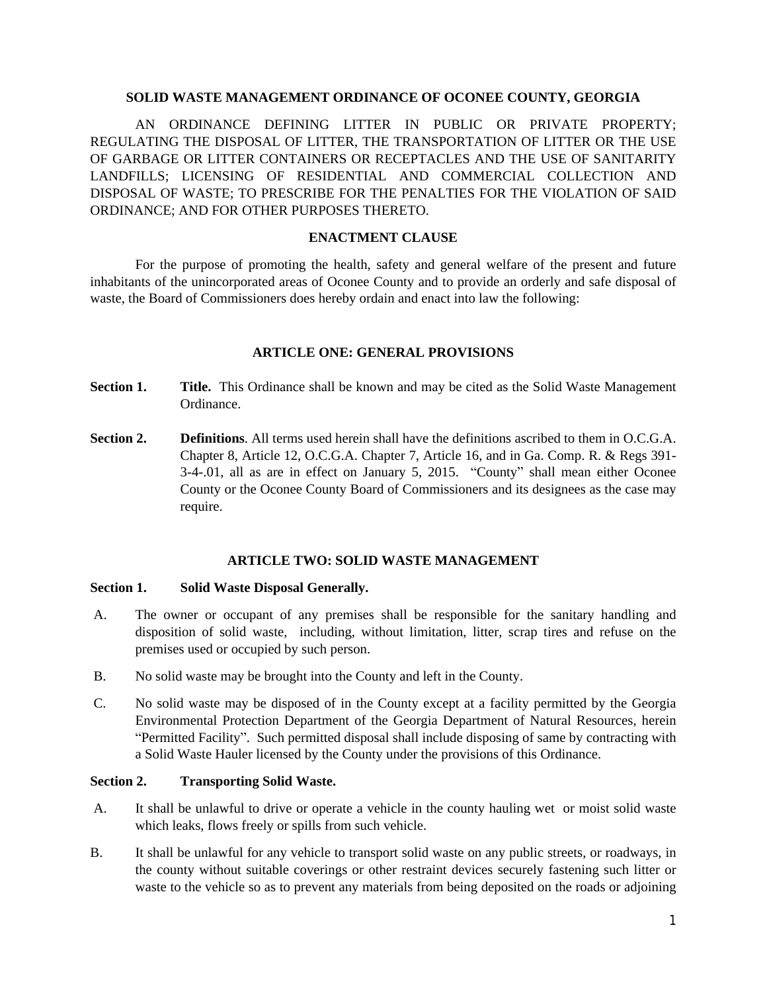#### **SOLID WASTE MANAGEMENT ORDINANCE OF OCONEE COUNTY, GEORGIA**

AN ORDINANCE DEFINING LITTER IN PUBLIC OR PRIVATE PROPERTY; REGULATING THE DISPOSAL OF LITTER, THE TRANSPORTATION OF LITTER OR THE USE OF GARBAGE OR LITTER CONTAINERS OR RECEPTACLES AND THE USE OF SANITARITY LANDFILLS; LICENSING OF RESIDENTIAL AND COMMERCIAL COLLECTION AND DISPOSAL OF WASTE; TO PRESCRIBE FOR THE PENALTIES FOR THE VIOLATION OF SAID ORDINANCE; AND FOR OTHER PURPOSES THERETO.

### **ENACTMENT CLAUSE**

For the purpose of promoting the health, safety and general welfare of the present and future inhabitants of the unincorporated areas of Oconee County and to provide an orderly and safe disposal of waste, the Board of Commissioners does hereby ordain and enact into law the following:

### **ARTICLE ONE: GENERAL PROVISIONS**

- **Section 1.** Title. This Ordinance shall be known and may be cited as the Solid Waste Management Ordinance.
- **Section 2.** Definitions. All terms used herein shall have the definitions ascribed to them in O.C.G.A. Chapter 8, Article 12, O.C.G.A. Chapter 7, Article 16, and in Ga. Comp. R. & Regs 391- 3-4-.01, all as are in effect on January 5, 2015. "County" shall mean either Oconee County or the Oconee County Board of Commissioners and its designees as the case may require.

### **ARTICLE TWO: SOLID WASTE MANAGEMENT**

### **Section 1. Solid Waste Disposal Generally.**

- A. The owner or occupant of any premises shall be responsible for the sanitary handling and disposition of solid waste, including, without limitation, litter, scrap tires and refuse on the premises used or occupied by such person.
- B. No solid waste may be brought into the County and left in the County.
- C. No solid waste may be disposed of in the County except at a facility permitted by the Georgia Environmental Protection Department of the Georgia Department of Natural Resources, herein "Permitted Facility". Such permitted disposal shall include disposing of same by contracting with a Solid Waste Hauler licensed by the County under the provisions of this Ordinance.

### **Section 2. Transporting Solid Waste.**

- A. It shall be unlawful to drive or operate a vehicle in the county hauling wet or moist solid waste which leaks, flows freely or spills from such vehicle.
- B. It shall be unlawful for any vehicle to transport solid waste on any public streets, or roadways, in the county without suitable coverings or other restraint devices securely fastening such litter or waste to the vehicle so as to prevent any materials from being deposited on the roads or adjoining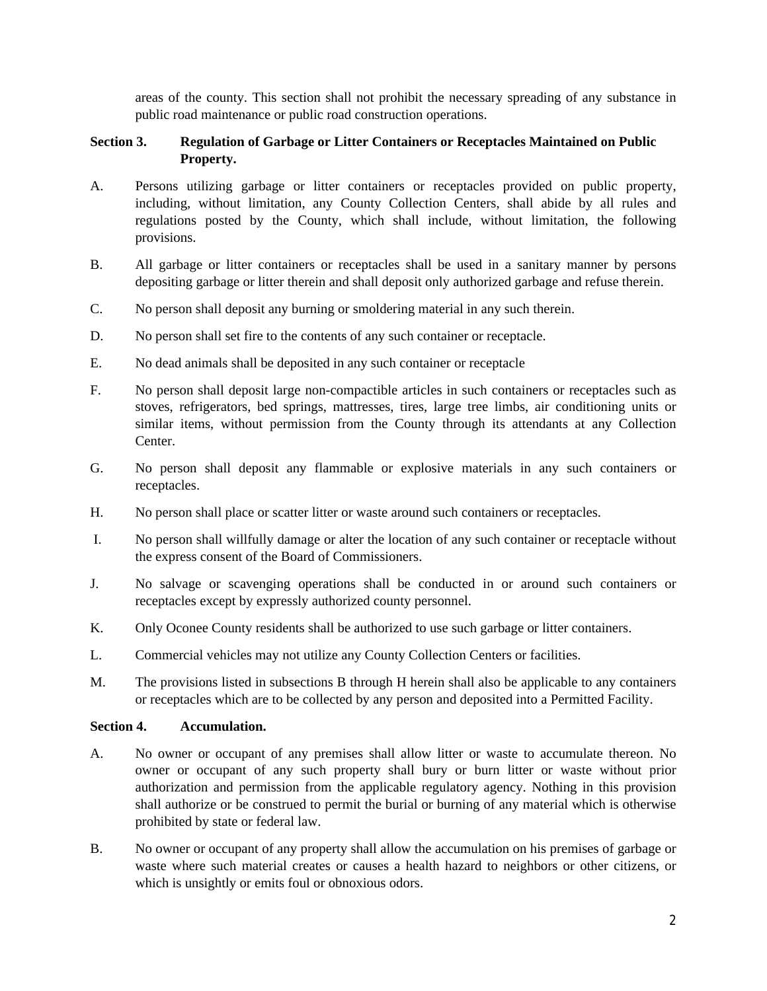areas of the county. This section shall not prohibit the necessary spreading of any substance in public road maintenance or public road construction operations.

## **Section 3. Regulation of Garbage or Litter Containers or Receptacles Maintained on Public Property.**

- A. Persons utilizing garbage or litter containers or receptacles provided on public property, including, without limitation, any County Collection Centers, shall abide by all rules and regulations posted by the County, which shall include, without limitation, the following provisions.
- B. All garbage or litter containers or receptacles shall be used in a sanitary manner by persons depositing garbage or litter therein and shall deposit only authorized garbage and refuse therein.
- C. No person shall deposit any burning or smoldering material in any such therein.
- D. No person shall set fire to the contents of any such container or receptacle.
- E. No dead animals shall be deposited in any such container or receptacle
- F. No person shall deposit large non-compactible articles in such containers or receptacles such as stoves, refrigerators, bed springs, mattresses, tires, large tree limbs, air conditioning units or similar items, without permission from the County through its attendants at any Collection Center.
- G. No person shall deposit any flammable or explosive materials in any such containers or receptacles.
- H. No person shall place or scatter litter or waste around such containers or receptacles.
- I. No person shall willfully damage or alter the location of any such container or receptacle without the express consent of the Board of Commissioners.
- J. No salvage or scavenging operations shall be conducted in or around such containers or receptacles except by expressly authorized county personnel.
- K. Only Oconee County residents shall be authorized to use such garbage or litter containers.
- L. Commercial vehicles may not utilize any County Collection Centers or facilities.
- M. The provisions listed in subsections B through H herein shall also be applicable to any containers or receptacles which are to be collected by any person and deposited into a Permitted Facility.

### **Section 4. Accumulation.**

- A. No owner or occupant of any premises shall allow litter or waste to accumulate thereon. No owner or occupant of any such property shall bury or burn litter or waste without prior authorization and permission from the applicable regulatory agency. Nothing in this provision shall authorize or be construed to permit the burial or burning of any material which is otherwise prohibited by state or federal law.
- B. No owner or occupant of any property shall allow the accumulation on his premises of garbage or waste where such material creates or causes a health hazard to neighbors or other citizens, or which is unsightly or emits foul or obnoxious odors.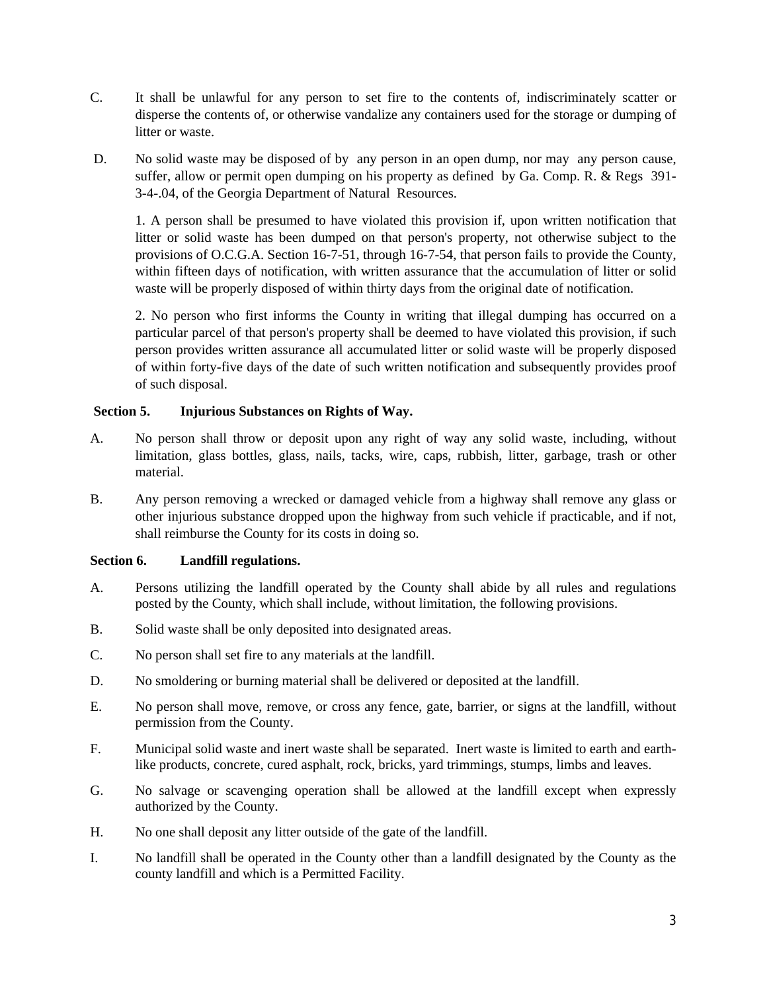- C. It shall be unlawful for any person to set fire to the contents of, indiscriminately scatter or disperse the contents of, or otherwise vandalize any containers used for the storage or dumping of litter or waste.
- D. No solid waste may be disposed of by any person in an open dump, nor may any person cause, suffer, allow or permit open dumping on his property as defined by Ga. Comp. R. & Regs 391- 3-4-.04, of the Georgia Department of Natural Resources.

1. A person shall be presumed to have violated this provision if, upon written notification that litter or solid waste has been dumped on that person's property, not otherwise subject to the provisions of O.C.G.A. Section 16-7-51, through 16-7-54, that person fails to provide the County, within fifteen days of notification, with written assurance that the accumulation of litter or solid waste will be properly disposed of within thirty days from the original date of notification.

2. No person who first informs the County in writing that illegal dumping has occurred on a particular parcel of that person's property shall be deemed to have violated this provision, if such person provides written assurance all accumulated litter or solid waste will be properly disposed of within forty-five days of the date of such written notification and subsequently provides proof of such disposal.

## **Section 5. Injurious Substances on Rights of Way.**

- A. No person shall throw or deposit upon any right of way any solid waste, including, without limitation, glass bottles, glass, nails, tacks, wire, caps, rubbish, litter, garbage, trash or other material.
- B. Any person removing a wrecked or damaged vehicle from a highway shall remove any glass or other injurious substance dropped upon the highway from such vehicle if practicable, and if not, shall reimburse the County for its costs in doing so.

# **Section 6. Landfill regulations.**

- A. Persons utilizing the landfill operated by the County shall abide by all rules and regulations posted by the County, which shall include, without limitation, the following provisions.
- B. Solid waste shall be only deposited into designated areas.
- C. No person shall set fire to any materials at the landfill.
- D. No smoldering or burning material shall be delivered or deposited at the landfill.
- E. No person shall move, remove, or cross any fence, gate, barrier, or signs at the landfill, without permission from the County.
- F. Municipal solid waste and inert waste shall be separated. Inert waste is limited to earth and earthlike products, concrete, cured asphalt, rock, bricks, yard trimmings, stumps, limbs and leaves.
- G. No salvage or scavenging operation shall be allowed at the landfill except when expressly authorized by the County.
- H. No one shall deposit any litter outside of the gate of the landfill.
- I. No landfill shall be operated in the County other than a landfill designated by the County as the county landfill and which is a Permitted Facility.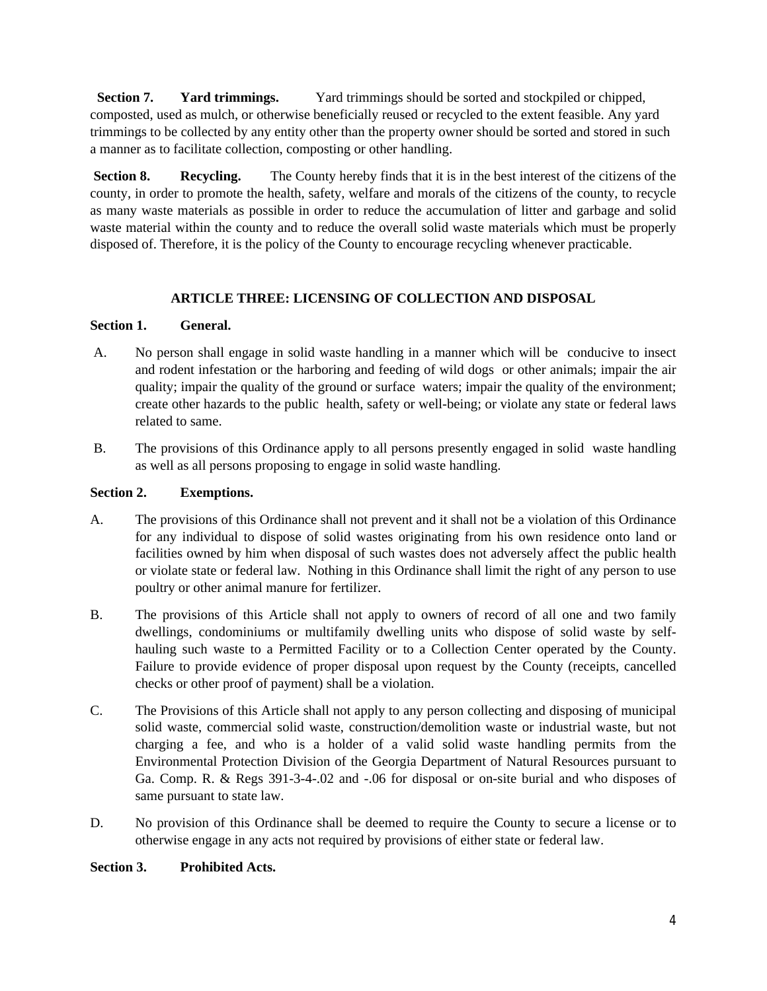**Section 7.** Yard trimmings. Yard trimmings should be sorted and stockpiled or chipped, composted, used as mulch, or otherwise beneficially reused or recycled to the extent feasible. Any yard trimmings to be collected by any entity other than the property owner should be sorted and stored in such a manner as to facilitate collection, composting or other handling.

**Section 8.** Recycling. The County hereby finds that it is in the best interest of the citizens of the county, in order to promote the health, safety, welfare and morals of the citizens of the county, to recycle as many waste materials as possible in order to reduce the accumulation of litter and garbage and solid waste material within the county and to reduce the overall solid waste materials which must be properly disposed of. Therefore, it is the policy of the County to encourage recycling whenever practicable.

# **ARTICLE THREE: LICENSING OF COLLECTION AND DISPOSAL**

## **Section 1. General.**

- A. No person shall engage in solid waste handling in a manner which will be conducive to insect and rodent infestation or the harboring and feeding of wild dogs or other animals; impair the air quality; impair the quality of the ground or surface waters; impair the quality of the environment; create other hazards to the public health, safety or well-being; or violate any state or federal laws related to same.
- B. The provisions of this Ordinance apply to all persons presently engaged in solid waste handling as well as all persons proposing to engage in solid waste handling.

## **Section 2. Exemptions.**

- A. The provisions of this Ordinance shall not prevent and it shall not be a violation of this Ordinance for any individual to dispose of solid wastes originating from his own residence onto land or facilities owned by him when disposal of such wastes does not adversely affect the public health or violate state or federal law. Nothing in this Ordinance shall limit the right of any person to use poultry or other animal manure for fertilizer.
- B. The provisions of this Article shall not apply to owners of record of all one and two family dwellings, condominiums or multifamily dwelling units who dispose of solid waste by selfhauling such waste to a Permitted Facility or to a Collection Center operated by the County. Failure to provide evidence of proper disposal upon request by the County (receipts, cancelled checks or other proof of payment) shall be a violation.
- C. The Provisions of this Article shall not apply to any person collecting and disposing of municipal solid waste, commercial solid waste, construction/demolition waste or industrial waste, but not charging a fee, and who is a holder of a valid solid waste handling permits from the Environmental Protection Division of the Georgia Department of Natural Resources pursuant to Ga. Comp. R. & Regs 391-3-4-.02 and -.06 for disposal or on-site burial and who disposes of same pursuant to state law.
- D. No provision of this Ordinance shall be deemed to require the County to secure a license or to otherwise engage in any acts not required by provisions of either state or federal law.

# **Section 3. Prohibited Acts.**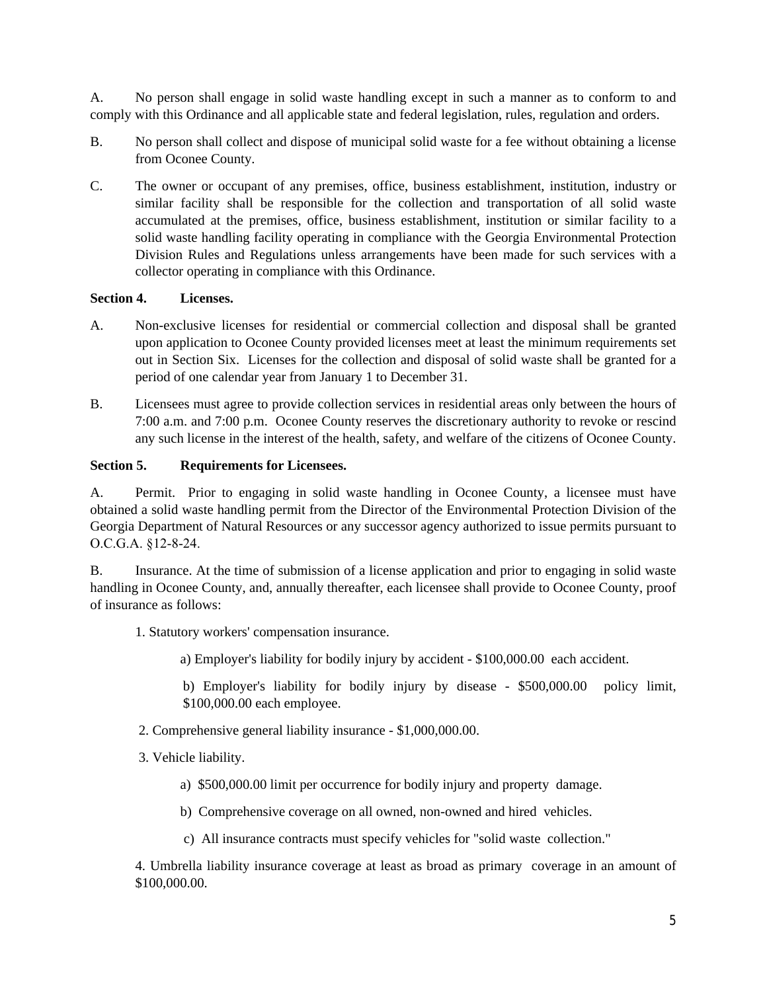A. No person shall engage in solid waste handling except in such a manner as to conform to and comply with this Ordinance and all applicable state and federal legislation, rules, regulation and orders.

- B. No person shall collect and dispose of municipal solid waste for a fee without obtaining a license from Oconee County.
- C. The owner or occupant of any premises, office, business establishment, institution, industry or similar facility shall be responsible for the collection and transportation of all solid waste accumulated at the premises, office, business establishment, institution or similar facility to a solid waste handling facility operating in compliance with the Georgia Environmental Protection Division Rules and Regulations unless arrangements have been made for such services with a collector operating in compliance with this Ordinance.

## **Section 4. Licenses.**

- A. Non-exclusive licenses for residential or commercial collection and disposal shall be granted upon application to Oconee County provided licenses meet at least the minimum requirements set out in Section Six. Licenses for the collection and disposal of solid waste shall be granted for a period of one calendar year from January 1 to December 31.
- B. Licensees must agree to provide collection services in residential areas only between the hours of 7:00 a.m. and 7:00 p.m. Oconee County reserves the discretionary authority to revoke or rescind any such license in the interest of the health, safety, and welfare of the citizens of Oconee County.

## **Section 5. Requirements for Licensees.**

A. Permit. Prior to engaging in solid waste handling in Oconee County, a licensee must have obtained a solid waste handling permit from the Director of the Environmental Protection Division of the Georgia Department of Natural Resources or any successor agency authorized to issue permits pursuant to O.C.G.A. §12-8-24.

B. Insurance. At the time of submission of a license application and prior to engaging in solid waste handling in Oconee County, and, annually thereafter, each licensee shall provide to Oconee County, proof of insurance as follows:

- 1. Statutory workers' compensation insurance.
	- a) Employer's liability for bodily injury by accident \$100,000.00 each accident.

b) Employer's liability for bodily injury by disease - \$500,000.00 policy limit, \$100,000.00 each employee.

- 2. Comprehensive general liability insurance \$1,000,000.00.
- 3. Vehicle liability.
	- a) \$500,000.00 limit per occurrence for bodily injury and property damage.
	- b) Comprehensive coverage on all owned, non-owned and hired vehicles.
	- c) All insurance contracts must specify vehicles for "solid waste collection."

4. Umbrella liability insurance coverage at least as broad as primary coverage in an amount of \$100,000.00.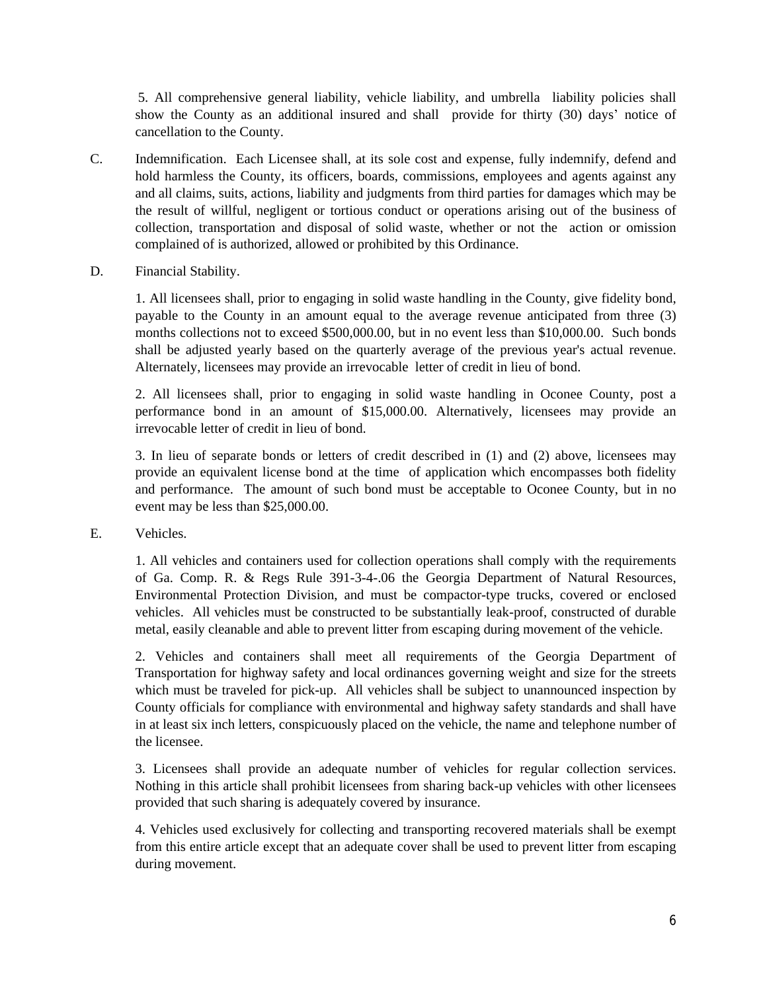5. All comprehensive general liability, vehicle liability, and umbrella liability policies shall show the County as an additional insured and shall provide for thirty (30) days' notice of cancellation to the County.

- C. Indemnification. Each Licensee shall, at its sole cost and expense, fully indemnify, defend and hold harmless the County, its officers, boards, commissions, employees and agents against any and all claims, suits, actions, liability and judgments from third parties for damages which may be the result of willful, negligent or tortious conduct or operations arising out of the business of collection, transportation and disposal of solid waste, whether or not the action or omission complained of is authorized, allowed or prohibited by this Ordinance.
- D. Financial Stability.

1. All licensees shall, prior to engaging in solid waste handling in the County, give fidelity bond, payable to the County in an amount equal to the average revenue anticipated from three (3) months collections not to exceed \$500,000.00, but in no event less than \$10,000.00. Such bonds shall be adjusted yearly based on the quarterly average of the previous year's actual revenue. Alternately, licensees may provide an irrevocable letter of credit in lieu of bond.

2. All licensees shall, prior to engaging in solid waste handling in Oconee County, post a performance bond in an amount of \$15,000.00. Alternatively, licensees may provide an irrevocable letter of credit in lieu of bond.

3. In lieu of separate bonds or letters of credit described in (1) and (2) above, licensees may provide an equivalent license bond at the time of application which encompasses both fidelity and performance. The amount of such bond must be acceptable to Oconee County, but in no event may be less than \$25,000.00.

E. Vehicles.

1. All vehicles and containers used for collection operations shall comply with the requirements of Ga. Comp. R. & Regs Rule 391-3-4-.06 the Georgia Department of Natural Resources, Environmental Protection Division, and must be compactor-type trucks, covered or enclosed vehicles. All vehicles must be constructed to be substantially leak-proof, constructed of durable metal, easily cleanable and able to prevent litter from escaping during movement of the vehicle.

2. Vehicles and containers shall meet all requirements of the Georgia Department of Transportation for highway safety and local ordinances governing weight and size for the streets which must be traveled for pick-up. All vehicles shall be subject to unannounced inspection by County officials for compliance with environmental and highway safety standards and shall have in at least six inch letters, conspicuously placed on the vehicle, the name and telephone number of the licensee.

3. Licensees shall provide an adequate number of vehicles for regular collection services. Nothing in this article shall prohibit licensees from sharing back-up vehicles with other licensees provided that such sharing is adequately covered by insurance.

4. Vehicles used exclusively for collecting and transporting recovered materials shall be exempt from this entire article except that an adequate cover shall be used to prevent litter from escaping during movement.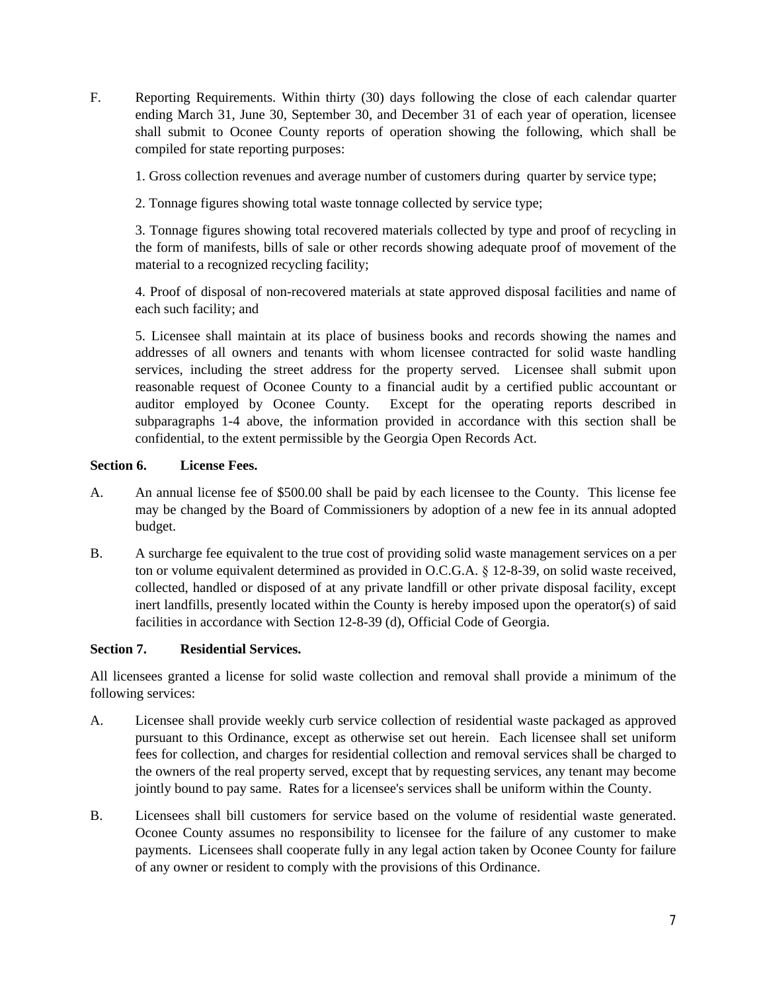F. Reporting Requirements. Within thirty (30) days following the close of each calendar quarter ending March 31, June 30, September 30, and December 31 of each year of operation, licensee shall submit to Oconee County reports of operation showing the following, which shall be compiled for state reporting purposes:

1. Gross collection revenues and average number of customers during quarter by service type;

2. Tonnage figures showing total waste tonnage collected by service type;

3. Tonnage figures showing total recovered materials collected by type and proof of recycling in the form of manifests, bills of sale or other records showing adequate proof of movement of the material to a recognized recycling facility;

4. Proof of disposal of non-recovered materials at state approved disposal facilities and name of each such facility; and

5. Licensee shall maintain at its place of business books and records showing the names and addresses of all owners and tenants with whom licensee contracted for solid waste handling services, including the street address for the property served. Licensee shall submit upon reasonable request of Oconee County to a financial audit by a certified public accountant or auditor employed by Oconee County. Except for the operating reports described in subparagraphs 1-4 above, the information provided in accordance with this section shall be confidential, to the extent permissible by the Georgia Open Records Act.

## **Section 6. License Fees.**

- A. An annual license fee of \$500.00 shall be paid by each licensee to the County. This license fee may be changed by the Board of Commissioners by adoption of a new fee in its annual adopted budget.
- B. A surcharge fee equivalent to the true cost of providing solid waste management services on a per ton or volume equivalent determined as provided in O.C.G.A. § 12-8-39, on solid waste received, collected, handled or disposed of at any private landfill or other private disposal facility, except inert landfills, presently located within the County is hereby imposed upon the operator(s) of said facilities in accordance with Section 12-8-39 (d), Official Code of Georgia.

# **Section 7. Residential Services.**

All licensees granted a license for solid waste collection and removal shall provide a minimum of the following services:

- A. Licensee shall provide weekly curb service collection of residential waste packaged as approved pursuant to this Ordinance, except as otherwise set out herein. Each licensee shall set uniform fees for collection, and charges for residential collection and removal services shall be charged to the owners of the real property served, except that by requesting services, any tenant may become jointly bound to pay same. Rates for a licensee's services shall be uniform within the County.
- B. Licensees shall bill customers for service based on the volume of residential waste generated. Oconee County assumes no responsibility to licensee for the failure of any customer to make payments. Licensees shall cooperate fully in any legal action taken by Oconee County for failure of any owner or resident to comply with the provisions of this Ordinance.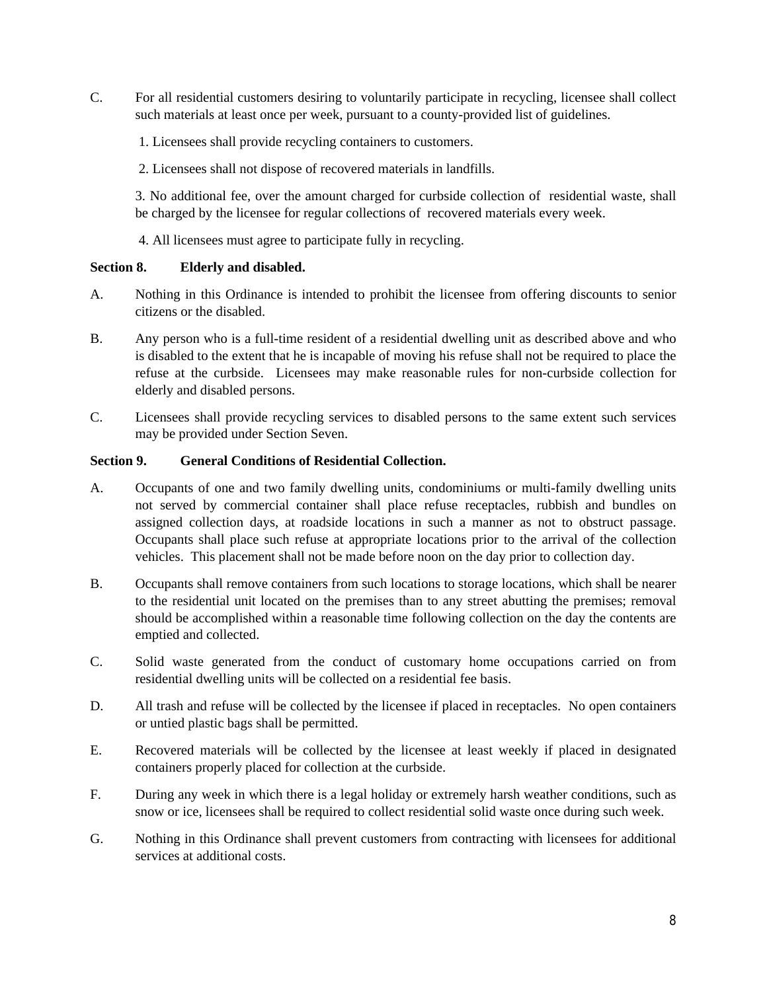- C. For all residential customers desiring to voluntarily participate in recycling, licensee shall collect such materials at least once per week, pursuant to a county-provided list of guidelines.
	- 1. Licensees shall provide recycling containers to customers.
	- 2. Licensees shall not dispose of recovered materials in landfills.

3. No additional fee, over the amount charged for curbside collection of residential waste, shall be charged by the licensee for regular collections of recovered materials every week.

4. All licensees must agree to participate fully in recycling.

### **Section 8. Elderly and disabled.**

- A. Nothing in this Ordinance is intended to prohibit the licensee from offering discounts to senior citizens or the disabled.
- B. Any person who is a full-time resident of a residential dwelling unit as described above and who is disabled to the extent that he is incapable of moving his refuse shall not be required to place the refuse at the curbside. Licensees may make reasonable rules for non-curbside collection for elderly and disabled persons.
- C. Licensees shall provide recycling services to disabled persons to the same extent such services may be provided under Section Seven.

### **Section 9. General Conditions of Residential Collection.**

- A. Occupants of one and two family dwelling units, condominiums or multi-family dwelling units not served by commercial container shall place refuse receptacles, rubbish and bundles on assigned collection days, at roadside locations in such a manner as not to obstruct passage. Occupants shall place such refuse at appropriate locations prior to the arrival of the collection vehicles. This placement shall not be made before noon on the day prior to collection day.
- B. Occupants shall remove containers from such locations to storage locations, which shall be nearer to the residential unit located on the premises than to any street abutting the premises; removal should be accomplished within a reasonable time following collection on the day the contents are emptied and collected.
- C. Solid waste generated from the conduct of customary home occupations carried on from residential dwelling units will be collected on a residential fee basis.
- D. All trash and refuse will be collected by the licensee if placed in receptacles. No open containers or untied plastic bags shall be permitted.
- E. Recovered materials will be collected by the licensee at least weekly if placed in designated containers properly placed for collection at the curbside.
- F. During any week in which there is a legal holiday or extremely harsh weather conditions, such as snow or ice, licensees shall be required to collect residential solid waste once during such week.
- G. Nothing in this Ordinance shall prevent customers from contracting with licensees for additional services at additional costs.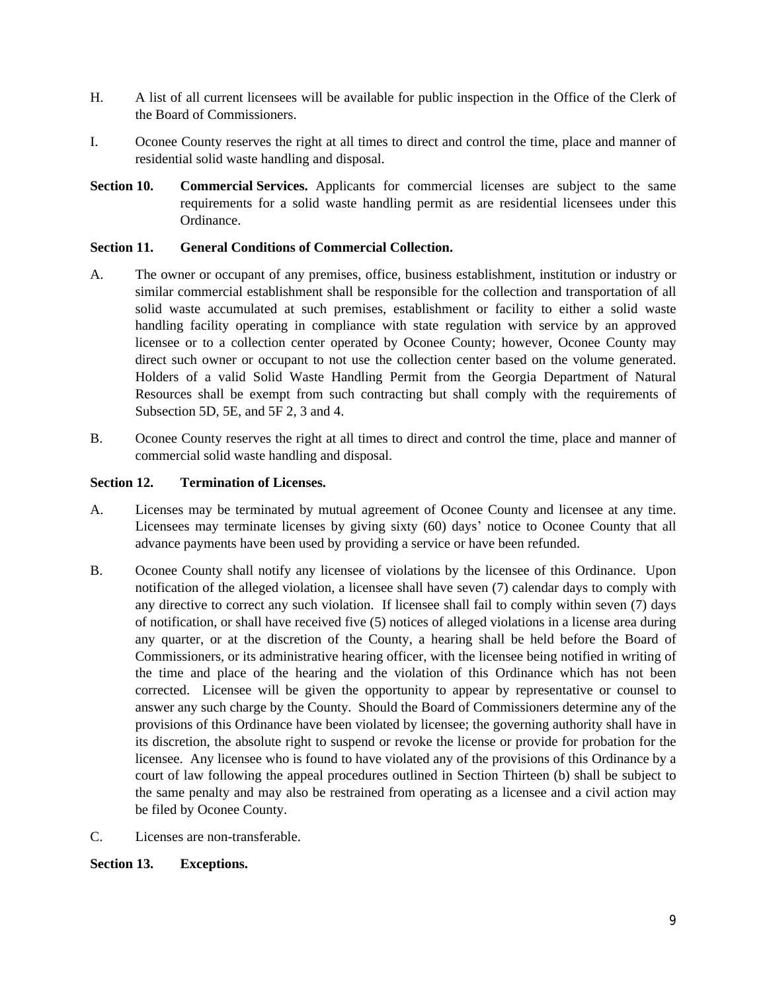- H. A list of all current licensees will be available for public inspection in the Office of the Clerk of the Board of Commissioners.
- I. Oconee County reserves the right at all times to direct and control the time, place and manner of residential solid waste handling and disposal.
- **Section 10. Commercial Services.** Applicants for commercial licenses are subject to the same requirements for a solid waste handling permit as are residential licensees under this Ordinance.

### **Section 11. General Conditions of Commercial Collection.**

- A. The owner or occupant of any premises, office, business establishment, institution or industry or similar commercial establishment shall be responsible for the collection and transportation of all solid waste accumulated at such premises, establishment or facility to either a solid waste handling facility operating in compliance with state regulation with service by an approved licensee or to a collection center operated by Oconee County; however, Oconee County may direct such owner or occupant to not use the collection center based on the volume generated. Holders of a valid Solid Waste Handling Permit from the Georgia Department of Natural Resources shall be exempt from such contracting but shall comply with the requirements of Subsection 5D, 5E, and 5F 2, 3 and 4.
- B. Oconee County reserves the right at all times to direct and control the time, place and manner of commercial solid waste handling and disposal.

## **Section 12. Termination of Licenses.**

- A. Licenses may be terminated by mutual agreement of Oconee County and licensee at any time. Licensees may terminate licenses by giving sixty (60) days' notice to Oconee County that all advance payments have been used by providing a service or have been refunded.
- B. Oconee County shall notify any licensee of violations by the licensee of this Ordinance. Upon notification of the alleged violation, a licensee shall have seven (7) calendar days to comply with any directive to correct any such violation. If licensee shall fail to comply within seven (7) days of notification, or shall have received five (5) notices of alleged violations in a license area during any quarter, or at the discretion of the County, a hearing shall be held before the Board of Commissioners, or its administrative hearing officer, with the licensee being notified in writing of the time and place of the hearing and the violation of this Ordinance which has not been corrected. Licensee will be given the opportunity to appear by representative or counsel to answer any such charge by the County. Should the Board of Commissioners determine any of the provisions of this Ordinance have been violated by licensee; the governing authority shall have in its discretion, the absolute right to suspend or revoke the license or provide for probation for the licensee. Any licensee who is found to have violated any of the provisions of this Ordinance by a court of law following the appeal procedures outlined in Section Thirteen (b) shall be subject to the same penalty and may also be restrained from operating as a licensee and a civil action may be filed by Oconee County.
- C. Licenses are non-transferable.

### **Section 13. Exceptions.**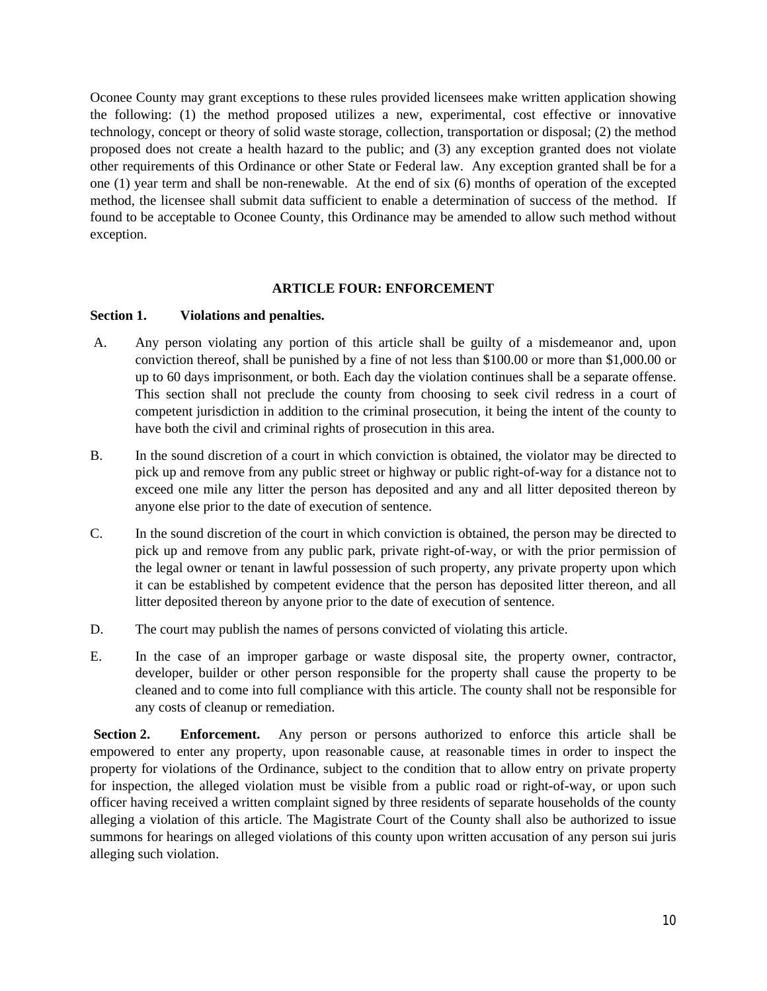Oconee County may grant exceptions to these rules provided licensees make written application showing the following: (1) the method proposed utilizes a new, experimental, cost effective or innovative technology, concept or theory of solid waste storage, collection, transportation or disposal; (2) the method proposed does not create a health hazard to the public; and (3) any exception granted does not violate other requirements of this Ordinance or other State or Federal law. Any exception granted shall be for a one (1) year term and shall be non-renewable. At the end of six (6) months of operation of the excepted method, the licensee shall submit data sufficient to enable a determination of success of the method. If found to be acceptable to Oconee County, this Ordinance may be amended to allow such method without exception.

### **ARTICLE FOUR: ENFORCEMENT**

#### **Section 1. Violations and penalties.**

- A. Any person violating any portion of this article shall be guilty of a misdemeanor and, upon conviction thereof, shall be punished by a fine of not less than \$100.00 or more than \$1,000.00 or up to 60 days imprisonment, or both. Each day the violation continues shall be a separate offense. This section shall not preclude the county from choosing to seek civil redress in a court of competent jurisdiction in addition to the criminal prosecution, it being the intent of the county to have both the civil and criminal rights of prosecution in this area.
- B. In the sound discretion of a court in which conviction is obtained, the violator may be directed to pick up and remove from any public street or highway or public right-of-way for a distance not to exceed one mile any litter the person has deposited and any and all litter deposited thereon by anyone else prior to the date of execution of sentence.
- C. In the sound discretion of the court in which conviction is obtained, the person may be directed to pick up and remove from any public park, private right-of-way, or with the prior permission of the legal owner or tenant in lawful possession of such property, any private property upon which it can be established by competent evidence that the person has deposited litter thereon, and all litter deposited thereon by anyone prior to the date of execution of sentence.
- D. The court may publish the names of persons convicted of violating this article.
- E. In the case of an improper garbage or waste disposal site, the property owner, contractor, developer, builder or other person responsible for the property shall cause the property to be cleaned and to come into full compliance with this article. The county shall not be responsible for any costs of cleanup or remediation.

**Section 2. Enforcement.** Any person or persons authorized to enforce this article shall be empowered to enter any property, upon reasonable cause, at reasonable times in order to inspect the property for violations of the Ordinance, subject to the condition that to allow entry on private property for inspection, the alleged violation must be visible from a public road or right-of-way, or upon such officer having received a written complaint signed by three residents of separate households of the county alleging a violation of this article. The Magistrate Court of the County shall also be authorized to issue summons for hearings on alleged violations of this county upon written accusation of any person sui juris alleging such violation.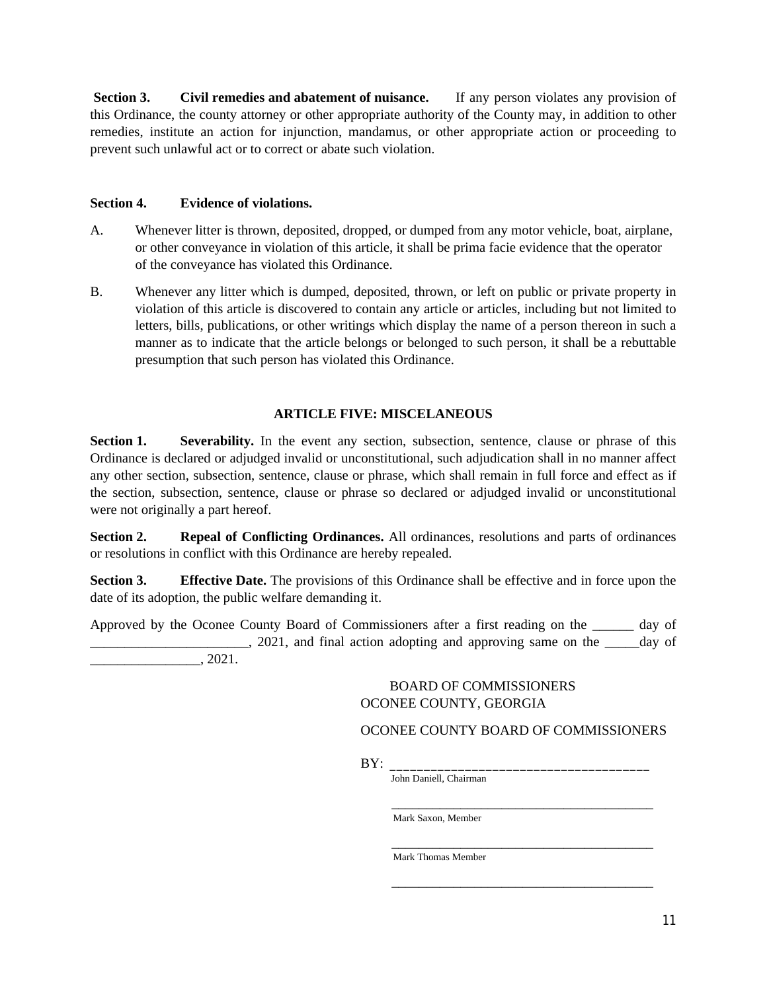**Section 3. Civil remedies and abatement of nuisance.** If any person violates any provision of this Ordinance, the county attorney or other appropriate authority of the County may, in addition to other remedies, institute an action for injunction, mandamus, or other appropriate action or proceeding to prevent such unlawful act or to correct or abate such violation.

## **Section 4. Evidence of violations.**

- A. Whenever litter is thrown, deposited, dropped, or dumped from any motor vehicle, boat, airplane, or other conveyance in violation of this article, it shall be prima facie evidence that the operator of the conveyance has violated this Ordinance.
- B. Whenever any litter which is dumped, deposited, thrown, or left on public or private property in violation of this article is discovered to contain any article or articles, including but not limited to letters, bills, publications, or other writings which display the name of a person thereon in such a manner as to indicate that the article belongs or belonged to such person, it shall be a rebuttable presumption that such person has violated this Ordinance.

# **ARTICLE FIVE: MISCELANEOUS**

**Section 1.** Severability. In the event any section, subsection, sentence, clause or phrase of this Ordinance is declared or adjudged invalid or unconstitutional, such adjudication shall in no manner affect any other section, subsection, sentence, clause or phrase, which shall remain in full force and effect as if the section, subsection, sentence, clause or phrase so declared or adjudged invalid or unconstitutional were not originally a part hereof.

**Section 2. Repeal of Conflicting Ordinances.** All ordinances, resolutions and parts of ordinances or resolutions in conflict with this Ordinance are hereby repealed.

**Section 3. Effective Date.** The provisions of this Ordinance shall be effective and in force upon the date of its adoption, the public welfare demanding it.

Approved by the Oconee County Board of Commissioners after a first reading on the \_\_\_\_\_\_ day of

 $\Box$ , 2021, and final action adopting and approving same on the  $\Box$  day of  $, 2021.$ 

### BOARD OF COMMISSIONERS OCONEE COUNTY, GEORGIA

# OCONEE COUNTY BOARD OF COMMISSIONERS

\_\_\_\_\_\_\_\_\_\_\_\_\_\_\_\_\_\_\_\_\_\_\_\_\_\_\_\_\_\_\_\_\_\_\_\_\_\_

BY: \_\_\_\_\_\_\_\_\_\_\_\_\_\_\_\_\_\_\_\_\_\_\_\_\_\_\_\_\_\_\_\_\_\_\_\_\_\_

John Daniell, Chairman

 $\overline{\phantom{a}}$  , and the contract of the contract of the contract of the contract of the contract of the contract of the contract of the contract of the contract of the contract of the contract of the contract of the contrac Mark Saxon, Member

> $\overline{\phantom{a}}$  , and the set of the set of the set of the set of the set of the set of the set of the set of the set of the set of the set of the set of the set of the set of the set of the set of the set of the set of the s Mark Thomas Member